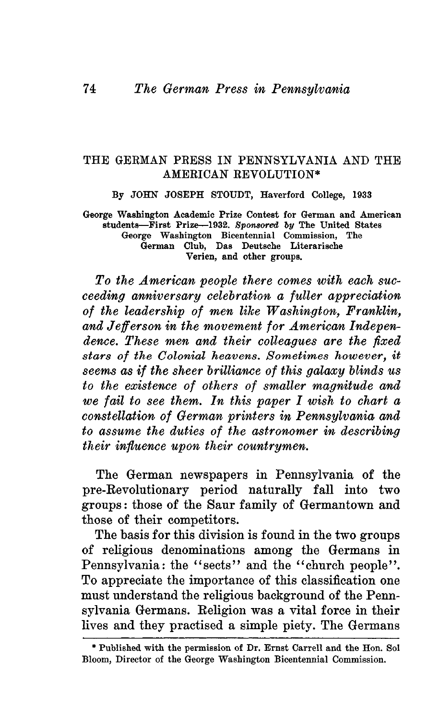## THE GERMAN PRESS IN PENNSYLVANIA AND THE AMEEICAN EEVOLUTION\*

By JOHN JOSEPH STOUDT, Haverford College, 1933

George Washington Academic Prize Contest for German and American students—First Prize—1932. *Sponsored by* The United States George Washington Bicentennial Commission, The German Club, Das Deutsche Literarische Verien, and other groups.

*To the American people there comes with each succeeding anniversary celebration a fuller appreciation of the leadership of men like Washington, Franklin, and Jefferson in the movement for American Independence. These men and their colleagues are the fixed stars of the Colonial heavens. Sometimes however, it seems as if the sheer brilliance of this galaxy blinds us to the existence of others of smaller magnitude and we fail to see them. In this paper I wish to chart a constellation of German printers in Pennsylvania and to assume the duties of the astronomer in describing their influence upon their countrymen.*

The German newspapers in Pennsylvania of the pre-Eevolutionary period naturally fall into two groups: those of the Saur family of Germantown and those of their competitors.

The basis for this division is found in the two groups of religious denominations among the Germans in Pennsylvania: the "sects" and the "church people". To appreciate the importance of this classification one must understand the religious background of the Pennsylvania Germans. Eeligion was a vital force in their lives and they practised a simple piety. The Germans

<sup>\*</sup> Published with the permission of Dr. Ernst Carrell and the Hon. Sol Bloom, Director of the George Washington Bicentennial Commission.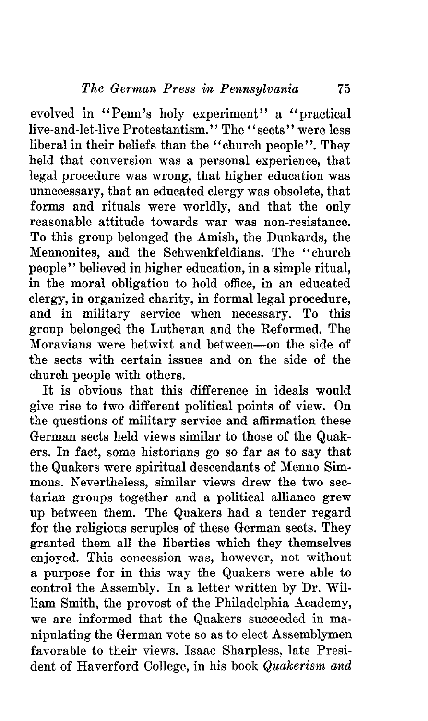evolved in "Penn's holy experiment" a "practical live-and-let-live Protestantism." The "sects" were less liberal in their beliefs than the "church people". They held that conversion was a personal experience, that legal procedure was wrong, that higher education was unnecessary, that an educated clergy was obsolete, that forms and rituals were worldly, and that the only reasonable attitude towards war was non-resistance. To this group belonged the Amish, the Dunkards, the Mennonites, and the Schwenkfeldians. The "church people'' believed in higher education, in a simple ritual, in the moral obligation to hold office, in an educated clergy, in organized charity, in formal legal procedure, and in military service when necessary. To this group belonged the Lutheran and the Eeformed. The Moravians were betwixt and between—on the side of the sects with certain issues and on the side of the church people with others.

It is obvious that this difference in ideals would give rise to two different political points of view. On the questions of military service and affirmation these German sects held views similar to those of the Quakers. In fact, some historians go so far as to say that the Quakers were spiritual descendants of Menno Simmons. Nevertheless, similar views drew the two sectarian groups together and a political alliance grew up between them. The Quakers had a tender regard for the religious scruples of these German sects. They granted them all the liberties which they themselves enjoyed. This concession was, however, not without a purpose for in this way the Quakers were able to control the Assembly. In a letter written by Dr. William Smith, the provost of the Philadelphia Academy, we are informed that the Quakers succeeded in manipulating the German vote so as to elect Assemblymen favorable to their views. Isaac Sharpless, late President of Haverford College, in his book *Quakerism and*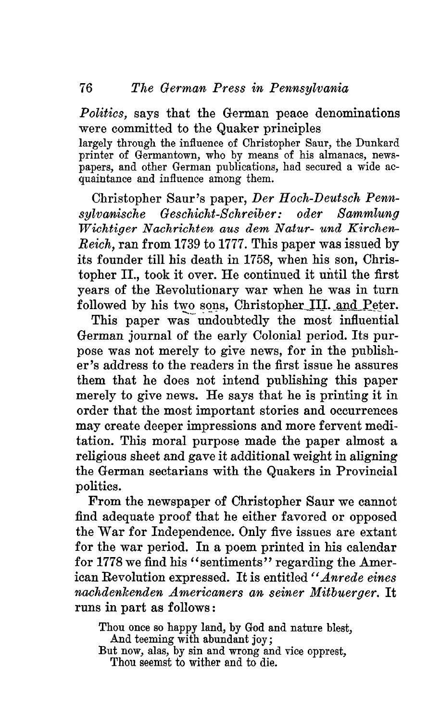*Politics,* says that the German peace denominations were committed to the Quaker principles

largely through the influence of Christopher Saur, the Dunkard printer of Germantown, who by means of his almanacs, newspapers, and other German publications, had secured a wide acquaintance and influence among them.

Christopher Saur's paper, *Der Hoch-Deutsch Pennsylvanische Geschicht-Schreiber: oder Sammlung Wichtiger Nachrichten aus dem Natur- und Kirchen-Reich,* ran from 1739 to 1777. This paper was issued by its founder till his death in 1758, when his son, Christopher II., took it over. He continued it until the first years of the Eevolutionary war when he was in turn followed by his two sons, Christopher III. and Peter.

This paper was undoubtedly the most influential German journal of the early Colonial period. Its purpose was not merely to give news, for in the publisher's address to the readers in the first issue he assures them that he does not intend publishing this paper merely to give news. He says that he is printing it in order that the most important stories and occurrences may create deeper impressions and more fervent meditation. This moral purpose made the paper almost a religious sheet and gave it additional weight in aligning the German sectarians with the Quakers in Provincial politics.

From the newspaper of Christopher Saur we cannot find adequate proof that he either favored or opposed the War for Independence. Only five issues are extant for the war period. In a poem printed in his calendar for 1778 we find his "sentiments" regarding the American Eevolution expressed. It is entitled *" Anrede eines nachdenlcenden Americaners an seiner Mitbuerger.* It runs in part as follows:

Thou once so happy land, by God and nature blest, And teeming with abundant joy; But now, alas, by sin and wrong and vice opprest, Thou seemst to wither and to die.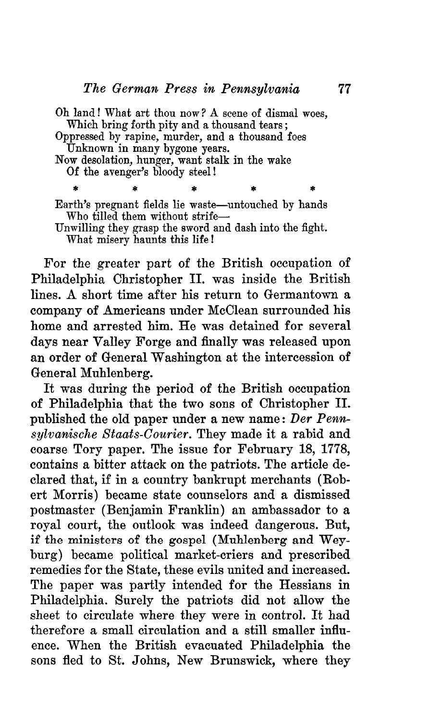Oh land! What art thou now ? A scene of dismal woes, Which bring forth pity and a thousand tears; Oppressed by rapine, murder, and a thousand foes Unknown in many bygone years. Now desolation, hunger, want stalk in the wake Of the avenger's bloody steel!

Earth's pregnant fields lie waste—untouched by hands Who tilled them without strife— Unwilling they grasp the sword and dash into the fight. What misery haunts this life!

For the greater part of the British occupation of Philadelphia Christopher II. was inside the British lines. A short time after his return to Germantown a company of Americans under McClean surrounded his home and arrested him. He was detained for several days near Valley Forge and finally was released upon an order of General Washington at the intercession of General Muhlenberg.

It was during the period of the British occupation of Philadelphia that the two sons of Christopher II. published the old paper under a new name: *Der Pennsylvanische Staats-Courier.* They made it a rabid and coarse Tory paper. The issue for February 18, 1778, contains a bitter attack on the patriots. The article declared that, if in a country bankrupt merchants (Bobert Morris) became state counselors and a dismissed postmaster (Benjamin Franklin) an ambassador to a royal court, the outlook was indeed dangerous. But, if the ministers of the gospel (Muhlenberg and Weyburg) became political market-criers and prescribed remedies for the State, these evils united and increased. The paper was partly intended for the Hessians in Philadelphia. Surely the patriots did not allow the sheet to circulate where they were in control. It had therefore a small circulation and a still smaller influence. When the British evacuated Philadelphia the sons fled to St. Johns, New Brunswick, where they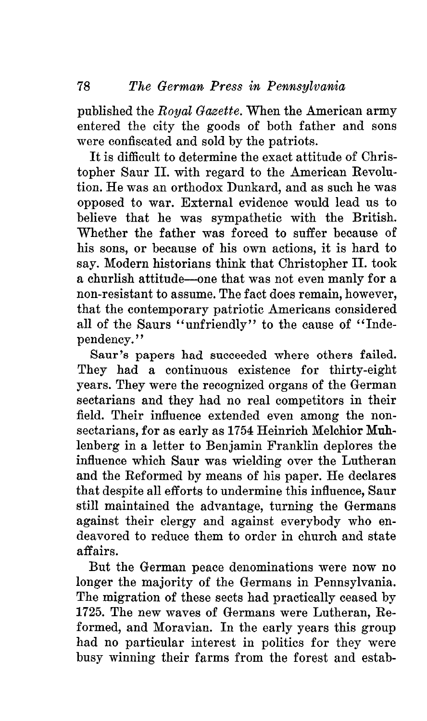published the *Royal Gazette.* When the American army entered the city the goods of both father and sons were confiscated and sold by the patriots.

It is difficult to determine the exact attitude of Christopher Saur II. with regard to the American Eevolution. He was an orthodox Dunkard, and as such he was opposed to war. External evidence would lead us to believe that he was sympathetic with the British. Whether the father was forced to suffer because of his sons, or because of his own actions, it is hard to say. Modern historians think that Christopher II. took a churlish attitude—one that was not even manly for a non-resistant to assume. The fact does remain, however, that the contemporary patriotic Americans considered all of the Saurs "unfriendly" to the cause of "Independency. *''*

Saur's papers had succeeded where others failed. They had a continuous existence for thirty-eight years. They were the recognized organs of the German sectarians and they had no real competitors in their field. Their influence extended even among the nonsectarians, for as early as 1754 Heinrich Melchior Muhlenberg in a letter to Benjamin Franklin deplores the influence which Saur was wielding over the Lutheran and the Eeformed by means of his paper. He declares that despite all efforts to undermine this influence, Saur still maintained the advantage, turning the Germans against their clergy and against everybody who endeavored to reduce them to order in church and state affairs.

But the German peace denominations were now no longer the majority of the Germans in Pennsylvania. The migration of these sects had practically ceased by 1725. The new waves of Germans were Lutheran, Eeformed, and Moravian. In the early years this group had no particular interest in politics for they were busy winning their farms from the forest and estab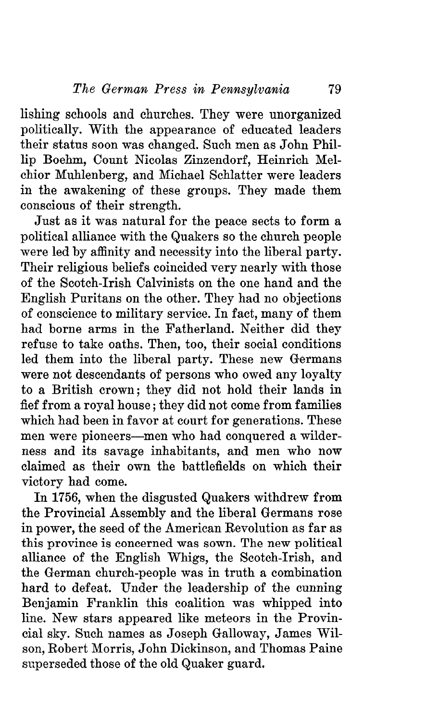lishing schools and churches. They were unorganized politically. With the appearance of educated leaders their status soon was changed. Such men as John Phillip Boehm, Count Nicolas Zinzendorf, Heinrich Melchior Muhlenberg, and Michael Schlatter were leaders in the awakening of these groups. They made them conscious of their strength.

Just as it was natural for the peace sects to form a political alliance with the Quakers so the church people were led by affinity and necessity into the liberal party. Their religious beliefs coincided very nearly with those of the Scotch-Irish Calvinists on the one hand and the English Puritans on the other. They had no objections of conscience to military service. In fact, many of them had borne arms in the Fatherland. Neither did they refuse to take oaths. Then, too, their social conditions led them into the liberal party. These new Germans were not descendants of persons who owed any loyalty to a British crown; they did not hold their lands in fief from a royal house; they did not come from families which had been in favor at court for generations. These men were pioneers—men who had conquered a wilderness and its savage inhabitants, and men who now claimed as their own the battlefields on which their victory had come.

In 1756, when the disgusted Quakers withdrew from the Provincial Assembly and the liberal Germans rose in power, the seed of the American Eevolution as far as this province is concerned was sown. The new political alliance of the English Whigs, the Scotch-Irish, and the German church-people was in truth a combination hard to defeat. Under the leadership of the cunning Benjamin Franklin this coalition was whipped into line. New stars appeared like meteors in the Provincial sky. Such names as Joseph Galloway, James Wilson, Eobert Morris, John Dickinson, and Thomas Paine superseded those of the old Quaker guard.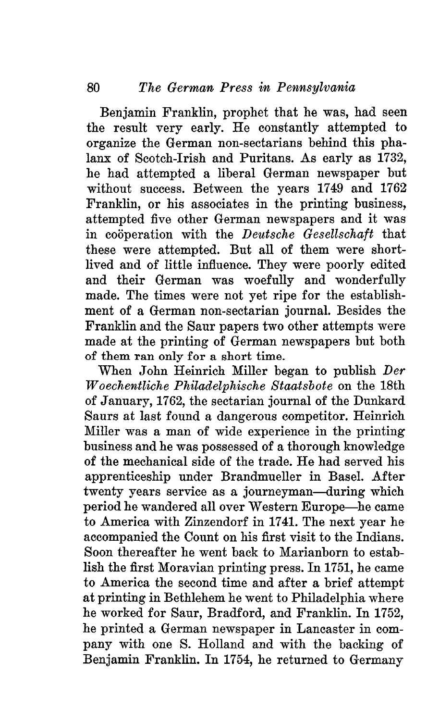Benjamin Franklin, prophet that he was, had seen the result very early. He constantly attempted to organize the German non-sectarians behind this phalanx of Scotch-Irish and Puritans. As early as 1732, he had attempted a liberal German newspaper but without success. Between the years 1749 and 1762 Franklin, or his associates in the printing business, attempted five other German newspapers and it was in cooperation with the *Deutsche Gesellschaft* that these were attempted. But all of them were shortlived and of little influence. They were poorly edited and their German was woefully and wonderfully made. The times were not yet ripe for the establishment of a German non-sectarian journal. Besides the Franklin and the Saur papers two other attempts were made at the printing of German newspapers but both of them ran only for a short time.

When John Heinrich Miller began to publish *Der Woechentliche Philadelphische Staatsbote* on the 18th of January, 1762, the sectarian journal of the Dunkard Saurs at last found a dangerous competitor. Heinrich Miller was a man of wide experience in the printing business and he was possessed of a thorough knowledge of the mechanical side of the trade. He had served his apprenticeship under Brandmueller in Basel. After twenty years service as a journeyman—during which period he wandered all over Western Europe—he came to America with Zinzendorf in 1741. The next year he accompanied the Count on his first visit to the Indians. Soon thereafter he went back to Marianborn to establish the first Moravian printing press. In 1751, he came to America the second time and after a brief attempt at printing in Bethlehem he went to Philadelphia where he worked for Saur, Bradford, and Franklin. In 1752, he printed a German newspaper in Lancaster in company with one S. Holland and with the backing of Benjamin Franklin. In 1754, he returned to Germany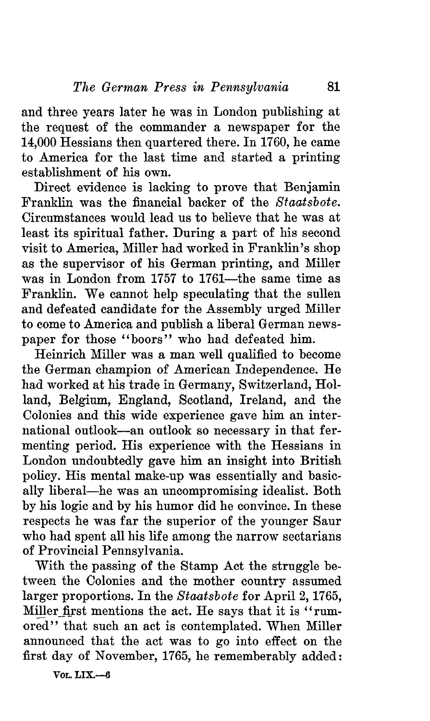and three years later he was in London publishing at the request of the commander a newspaper for the 14,000 Hessians then quartered there. In 1760, he came to America for the last time and started a printing establishment of his own.

Direct evidence is lacking to prove that Benjamin Franklin was the financial backer of the *Staatsbote.* Circumstances would lead us to believe that he was at least its spiritual father. During a part of his second visit to America, Miller had worked in Franklin's shop as the supervisor of his German printing, and Miller was in London from 1757 to 1761—the same time as Franklin. We cannot help speculating that the sullen and defeated candidate for the Assembly urged Miller to come to America and publish a liberal German newspaper for those "boors" who had defeated him.

Heinrich Miller was a man well qualified to become the German champion of American Independence. He had worked at his trade in Germany, Switzerland, Holland, Belgium, England, Scotland, Ireland, and the Colonies and this wide experience gave him an international outlook—an outlook so necessary in that fermenting period. His experience with the Hessians in London undoubtedly gave him an insight into British policy. His mental make-up was essentially and basically liberal—he was an uncompromising idealist. Both by his logic and by his humor did he convince. In these respects he was far the superior of the younger Saur who had spent all his life among the narrow sectarians of Provincial Pennsylvania.

With the passing of the Stamp Act the struggle between the Colonies and the mother country assumed larger proportions. In the *Staatsbote* for April 2,1765, Miller first mentions the act. He says that it is "rumored" that such an act is contemplated. When Miller announced that the act was to go into effect on the first day of November, 1765, he rememberably added:

**VOL. LIX.—6**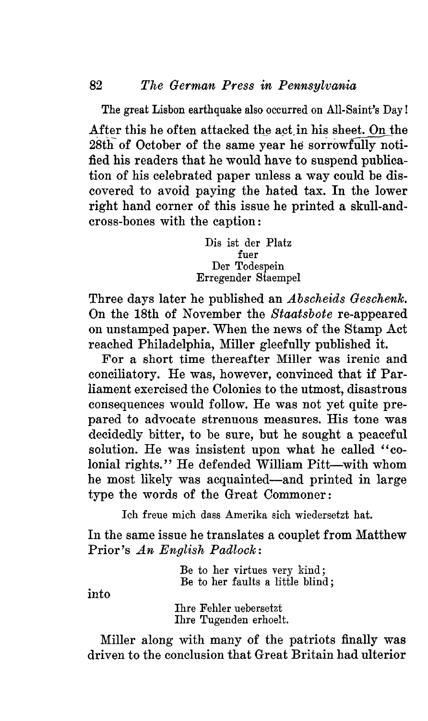The great Lisbon earthquake also occurred on All-Saint's Day! After this he often attacked the act in his sheet. On the 28th of October of the same year he sorrowfully notified his readers that he would have to suspend publication of his celebrated paper unless a way could be discovered to avoid paying the hated tax. In the lower right hand corner of this issue he printed a skull-andcross-bones with the caption:

> Dis ist der Platz fuer Der Todespein Erregender Staempel

Three days later he published an *Abscheids Geschenk*. On the 18th of November the *Staatsbote* re-appeared on unstamped paper. When the news of the Stamp Act reached Philadelphia, Miller gleefully published it.

For a short time thereafter Miller was irenic and conciliatory. He was, however, convinced that if Parliament exercised the Colonies to the utmost, disastrous consequences would follow. He was not yet quite prepared to advocate strenuous measures. His tone was decidedly bitter, to be sure, but he sought a peaceful solution. He was insistent upon what he called "colonial rights." He defended William Pitt—with whom he most likely was acquainted—and printed in large type the words of the Great Commoner:

Ich freue mich dass Amerika sich wiedersetzt hat.

In the same issue he translates a couplet from Matthew Prior's *An English Padlock:*

> Be to her virtues very kind; Be to her faults a little blind;

into

Ihre Fehler uebersetzt Ihre Tugenden erhoelt.

Miller along with many of the patriots finally was driven to the conclusion that Great Britain had ulterior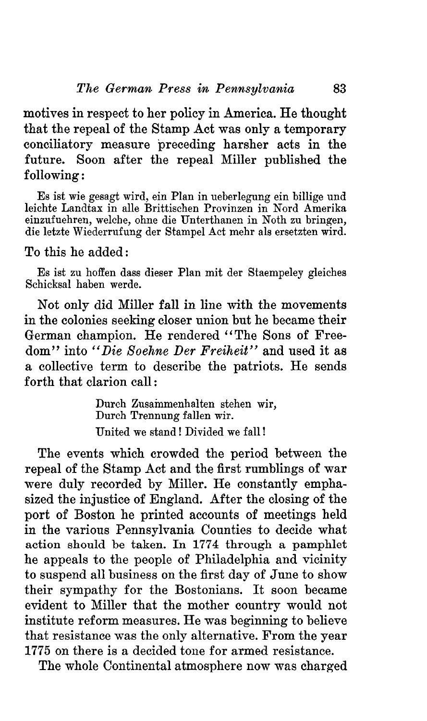motives in respect to her policy in America. He thought that the repeal of the Stamp Act was only a temporary conciliatory measure preceding harsher acts in the future. Soon after the repeal Miller published the following:

Es ist wie gesagt wird, ein Plan in ueberlegung ein billige und leichte Landtax in alle Brittischen Provinzen in Nord Amerika einzufuehren, welche, ohne die Unterthanen in Noth zu bringen, die letzte Wiederrufung der Stampel Act mehr als ersetzten wird.

## To this he added:

Es ist zu hoffen dass dieser Plan mit der Staempeley gleiches Schicksal haben werde.

Not only did Miller fall in line with the movements in the colonies seeking closer union but he became their ( German champion. He rendered "The Sons of Freedom" into *"Die Soehne Der Freiheit"* and used it as a collective term to describe the patriots. He sends forth that clarion call:

> Durch Zusammenhalten stehen wir, Durch Trennung fallen wir. United we stand! Divided we fall!

The events which crowded the period between the repeal of the Stamp Act and the first rumblings of war were duly recorded by Miller. He constantly emphasized the injustice of England. After the closing of the port of Boston he printed accounts of meetings held in the various Pennsylvania Counties to decide what action should be taken. In 1774 through a pamphlet he appeals to the people of Philadelphia and vicinity to suspend all business on the first day of June to show their sympathy for the Bostonians. It soon became evident to Miller that the mother country would not institute reform measures. He was beginning to believe that resistance was the only alternative. From the year 1775 on there is a decided tone for armed resistance.

The whole Continental atmosphere now was charged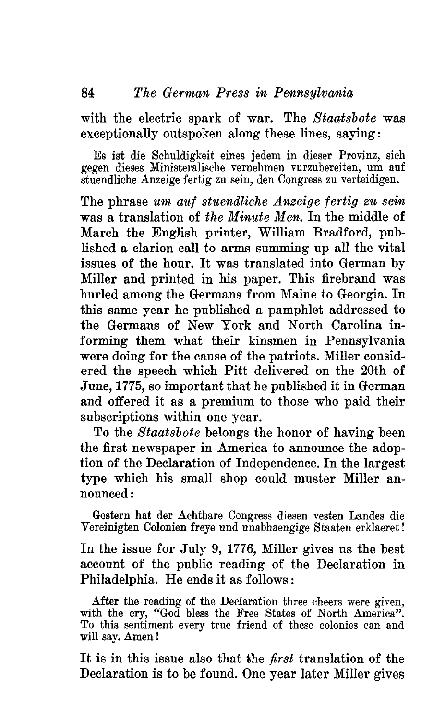with the electric spark of war. The *Staatsbote* was exceptionally outspoken along these lines, saying:

Es ist die Schiildigkeit eines jedem in dieser Provinz, sich gegen dieses Ministeralische vernehmen vurzubereiten, um auf stuendliche Anzeige fertig zu sein, den Congress zu verteidigen.

The phrase *um auf stuendliche Anzeige fertig zu sein* was a translation of *the Minute Men.* In the middle of March the English printer, William Bradford, published a clarion call to arms summing up all the vital issues of the hour. It was translated into German by Miller and printed in his paper. This firebrand was hurled among the Germans from Maine to Georgia. In this same year he published a pamphlet addressed to the Germans of New York and North Carolina informing them what their kinsmen in Pennsylvania were doing for the cause of the patriots. Miller considered the speech which Pitt delivered on the 20th of June, 1775, so important that he published it in German and offered it as a premium to those who paid their subscriptions within one year.

To the *Staatsbote* belongs the honor of having been the first newspaper in America to announce the adoption of the Declaration of Independence. In the largest type which his small shop could muster Miller announced :

Gestern hat der Achtbare Congress diesen vesten Landes die Vereinigten Colonien freye und unabhaengige Staaten erklaeret!

In the issue for July 9, 1776, Miller gives us the best account of the public reading of the Declaration in Philadelphia. He ends it as follows :

After the reading of the Declaration three cheers were given, with the cry, "God bless the Free States of North America". To this sentiment every true friend of these colonies can and will say. Amen!

It is in this issue also that the *first* translation of the Declaration is to be found. One year later Miller gives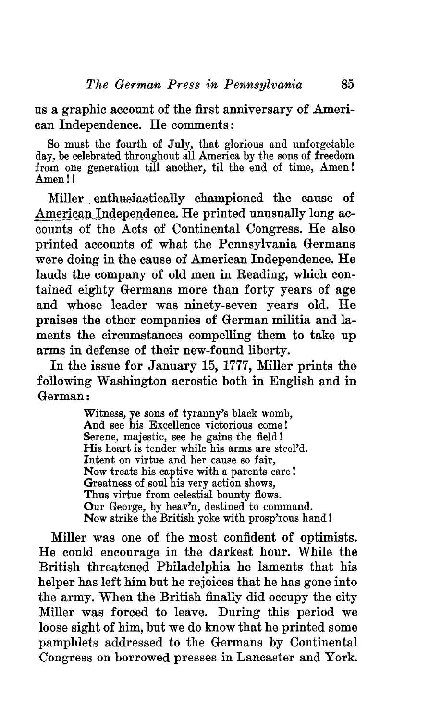us a graphic account of the first anniversary of American Independence. He comments:

So must the fourth of July, that glorious and unforgetable day, be celebrated throughout all America by the sons of freedom from one generation till another, til the end of time, Amen! Amen!!

Miller enthusiastically championed the cause of American Independence. He printed unusually long accounts of the Acts of Continental Congress. He also printed accounts of what the Pennsylvania Germans were doing in the cause of American Independence. He lauds the company of old men in Reading, which contained eighty Germans more than forty years of age and whose leader was ninety-seven years old. He praises the other companies of German militia and laments the circumstances compelling them to take up arms in defense of their new-found liberty.

In the issue for January 15, 1777, Miller prints the following Washington acrostic both in English and in German:

> Witness, ye sons of tyranny's black womb, And see his Excellence victorious come! Serene, majestic, see he gains the field! His heart is tender while his arms are steel'd. Intent on virtue and her cause so fair, Now treats his captive with a parents care! Greatness of soul his very action shows, Thus virtue from celestial bounty flows. Our George, by heav'n, destined to command. Now strike the British yoke with prosp'rous hand!

Miller was one of the most confident of optimists. He could encourage in the darkest hour. While the British threatened Philadelphia he laments that his helper has left him but he rejoices that he has gone into the army. When the British finally did occupy the city Miller was forced to leave. During this period we loose sight of him, but we do know that he printed some pamphlets addressed to the Germans by Continental Congress on borrowed presses in Lancaster and York.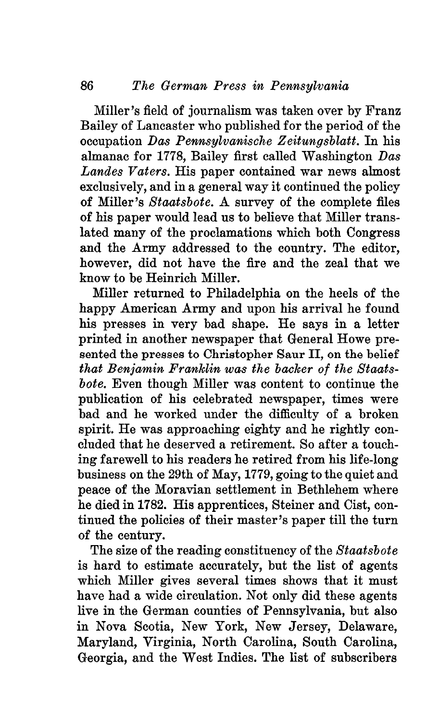Miller's field of journalism was taken over by Franz Bailey of Lancaster who published for the period of the occupation *Das Pennsylvanische Zeitungsblatt.* In his almanac for 1778, Bailey first called Washington *Das Landes Vaters.* His paper contained war news almost exclusively, and in a general way it continued the policy of Miller's *Staatsbote.* A survey of the complete files of his paper would lead us to believe that Miller translated many of the proclamations which both Congress and the Army addressed to the country. The editor, however, did not have the fire and the zeal that we know to be Heinrich Miller.

Miller returned to Philadelphia on the heels of the happy American Army and upon his arrival he found his presses in very bad shape. He says in a letter printed in another newspaper that General Howe presented the presses to Christopher Saur II, on the belief *that Benjamin Franklin was the backer of the Staatsbote.* Even though Miller was content to continue the publication of his celebrated newspaper, times were bad and he worked under the difficulty of a broken spirit. He was approaching eighty and he rightly concluded that he deserved a retirement. So after a touching farewell to his readers he retired from his life-long business on the 29th of May, 1779, going to the quiet and peace of the Moravian settlement in Bethlehem where he died in 1782. His apprentices, Steiner and Cist, continued the policies of their master's paper till the turn of the century.

The size of the reading constituency of the *Staatsbote* is hard to estimate accurately, but the list of agents which Miller gives several times shows that it must have had a wide circulation. Not only did these agents live in the German counties of Pennsylvania, but also in Nova Scotia, New York, New Jersey, Delaware, Maryland, Virginia, North Carolina, South Carolina, Georgia, and the West Indies. The list of subscribers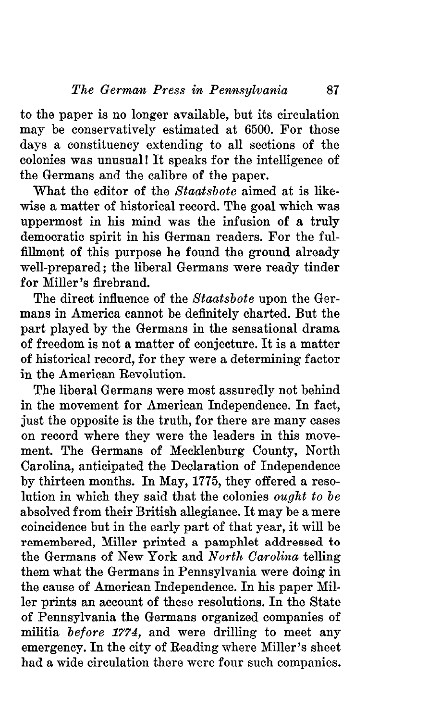to the paper is no longer available, but its circulation may be conservatively estimated at 6500. For those days a constituency extending to all sections of the colonies was unusual! It speaks for the intelligence of the Germans and the calibre of the paper.

What the editor of the *Staatsbote* aimed at is like- *\* wise a matter of historical record. The goal which was uppermost in his mind was the infusion of a truly democratic spirit in his German readers. For the ful-' fillment of this purpose he found the ground already well-prepared; the liberal Germans were ready tinder for Miller's firebrand.

The direct influence of the *Staatsbote* upon the Germans in America cannot be definitely charted. But the part played by the Germans in the sensational drama of freedom is not a matter of conjecture. It is a matter of historical record, for they were a determining factor in the American Eevolution.

The liberal Germans were most assuredly not behind in the movement for American Independence. In fact, just the opposite is the truth, for there are many cases on record where they were the leaders in this movement. The Germans of Mecklenburg County, North Carolina, anticipated the Declaration of Independence by thirteen months. In May, 1775, they offered a resolution in which they said that the colonies *ought to be* absolved from their British allegiance. It may be a mere coincidence but in the early part of that year, it will be remembered, Miller printed a pamphlet addressed to the Germans of New York and *North Carolina* telling them what the Germans in Pennsylvania were doing in the cause of American Independence. In his paper Miller prints an account of these resolutions. In the State of Pennsylvania the Germans organized companies of militia *before 1774,* and were drilling to meet any emergency. In the city of Eeading where Miller's sheet had a wide circulation there were four such companies.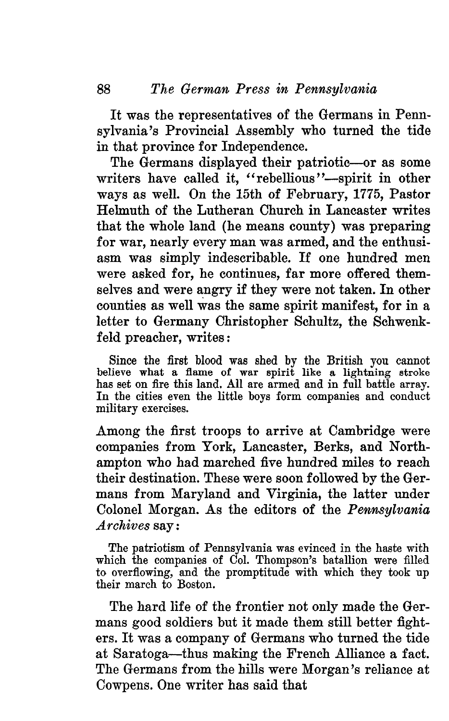It was the representatives of the Germans in Pennsylvania's Provincial Assembly who turned the tide in that province for Independence.

The Germans displayed their patriotic—or as some writers have called it, "rebellious"—spirit in other ways as well. On the 15th of February, 1775, Pastor Helmuth of the Lutheran Church in Lancaster writes that the whole land (he means county) was preparing for war, nearly every man was armed, and the enthusiasm was simply indescribable. If one hundred men were asked for, he continues, far more offered themselves and were angry if they were not taken. In other counties as well was the same spirit manifest, for in a letter to Germany Christopher Schultz, the Schwenkfeld preacher, writes:

Since the first blood was shed by the British you cannot believe what a flame of war spirit like a lightning stroke has set on fire this land. All are armed and in full battle array. In the cities even the little boys form companies and conduct military exercises.

Among the first troops to arrive at Cambridge were companies from York, Lancaster, Berks, and Northampton who had marched five hundred miles to reach their destination. These were soon followed by the Germans from Maryland and Virginia, the latter under Colonel Morgan. As the editors of the *Pennsylvania Archives* say:

The patriotism of Pennsylvania was evinced in the haste with which the companies of Col. Thompson's batallion were filled to overflowing, and the promptitude with which they took up their march to Boston.

The hard life of the frontier not only made the Germans good soldiers but it made them still better fighters. It was a company of Germans who turned the tide at Saratoga—thus making the French Alliance a fact. The Germans from the hills were Morgan's reliance at Cowpens. One writer has said that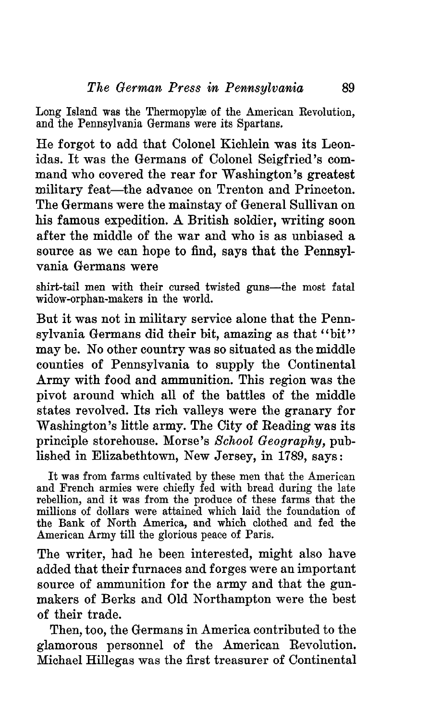Long Island was the Thermopylæ of the American Revolution. and the Pennsylvania Germans were its Spartans.

He forgot to add that Colonel Kichlein was its Leonidas. It was the Germans of Colonel Seigfried's command who covered the rear for Washington's greatest military feat—the advance on Trenton and Princeton, The Germans were the mainstay of General Sullivan on his famous expedition. A British soldier, writing soon after the middle of the war and who is as unbiased a source as we can hope to find, says that the Pennsylvania Germans were

shirt-tail men with their cursed twisted guns—the most fatal widow-orphan-makers in the world.

But it was not in military service alone that the Pennsylvania Germans did their bit, amazing as that "bit" may be. No other country was so situated as the middle counties of Pennsylvania to supply the Continental Army with food and ammunition. This region was the pivot around which all of the battles of the middle states revolved. Its rich valleys were the granary for Washington's little army. The City of Reading was its principle storehouse. Morse's *School Geography,* published in Elizabethtown, New Jersey, in 1789, says:

It was from farms cultivated by these men that the American and French armies were chiefly fed with bread during the late rebellion, and it was from the produce of these farms that the millions of dollars were attained which laid the foundation of the Bank of North America, and which clothed and fed the American Army till the glorious peace of Paris.

The writer, had he been interested, might also have added that their furnaces and forges were an important source of ammunition for the army and that the gunmakers of Berks and Old Northampton were the best of their trade.

Then, too, the Germans in America contributed to the glamorous personnel of the American Eevolution. Michael Hillegas was the first treasurer of Continental